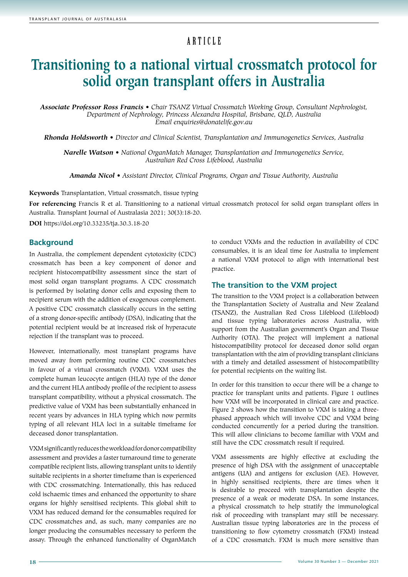# ARTICLE

# **Transitioning to a national virtual crossmatch protocol for solid organ transplant offers in Australia**

*Associate Professor Ross Francis • Chair TSANZ Virtual Crossmatch Working Group, Consultant Nephrologist, Department of Nephrology, Princess Alexandra Hospital, Brisbane, QLD, Australia Email enquiries@donatelife.gov.au*

*Rhonda Holdsworth • Director and Clinical Scientist, Transplantation and Immunogenetics Services, Australia*

*Narelle Watson • National OrganMatch Manager, Transplantation and Immunogenetics Service, Australian Red Cross Lifeblood, Australia*

*Amanda Nicol • Assistant Director, Clinical Programs, Organ and Tissue Authority, Australia*

**Keywords** Transplantation, Virtual crossmatch, tissue typing

**For referencing** Francis R et al. Transitioning to a national virtual crossmatch protocol for solid organ transplant offers in Australia. Transplant Journal of Australasia 2021; 30(3):18-20.

**DOI** https://doi.org/10.33235/tja.30.3.18-20

#### **Background**

In Australia, the complement dependent cytotoxicity (CDC) crossmatch has been a key component of donor and recipient histocompatibility assessment since the start of most solid organ transplant programs. A CDC crossmatch is performed by isolating donor cells and exposing them to recipient serum with the addition of exogenous complement. A positive CDC crossmatch classically occurs in the setting of a strong donor-specific antibody (DSA), indicating that the potential recipient would be at increased risk of hyperacute rejection if the transplant was to proceed.

However, internationally, most transplant programs have moved away from performing routine CDC crossmatches in favour of a virtual crossmatch (VXM). VXM uses the complete human leucocyte antigen (HLA) type of the donor and the current HLA antibody profile of the recipient to assess transplant compatibility, without a physical crossmatch. The predictive value of VXM has been substantially enhanced in recent years by advances in HLA typing which now permits typing of all relevant HLA loci in a suitable timeframe for deceased donor transplantation.

VXM significantly reduces the workload for donor compatibility assessment and provides a faster turnaround time to generate compatible recipient lists, allowing transplant units to identify suitable recipients in a shorter timeframe than is experienced with CDC crossmatching. Internationally, this has reduced cold ischaemic times and enhanced the opportunity to share organs for highly sensitised recipients. This global shift to VXM has reduced demand for the consumables required for CDC crossmatches and, as such, many companies are no longer producing the consumables necessary to perform the assay. Through the enhanced functionality of OrganMatch

to conduct VXMs and the reduction in availability of CDC consumables, it is an ideal time for Australia to implement a national VXM protocol to align with international best practice.

### **The transition to the VXM project**

The transition to the VXM project is a collaboration between the Transplantation Society of Australia and New Zealand (TSANZ), the Australian Red Cross Lifeblood (Lifeblood) and tissue typing laboratories across Australia, with support from the Australian government's Organ and Tissue Authority (OTA). The project will implement a national histocompatibility protocol for deceased donor solid organ transplantation with the aim of providing transplant clinicians with a timely and detailed assessment of histocompatibility for potential recipients on the waiting list.

In order for this transition to occur there will be a change to practice for transplant units and patients. Figure 1 outlines how VXM will be incorporated in clinical care and practice. Figure 2 shows how the transition to VXM is taking a threephased approach which will involve CDC and VXM being conducted concurrently for a period during the transition. This will allow clinicians to become familiar with VXM and still have the CDC crossmatch result if required.

VXM assessments are highly effective at excluding the presence of high DSA with the assignment of unacceptable antigens (UA) and antigens for exclusion (AE). However, in highly sensitised recipients, there are times when it is desirable to proceed with transplantation despite the presence of a weak or moderate DSA. In some instances, a physical crossmatch to help stratify the immunological risk of proceeding with transplant may still be necessary. Australian tissue typing laboratories are in the process of transitioning to flow cytometry crossmatch (FXM) instead of a CDC crossmatch. FXM is much more sensitive than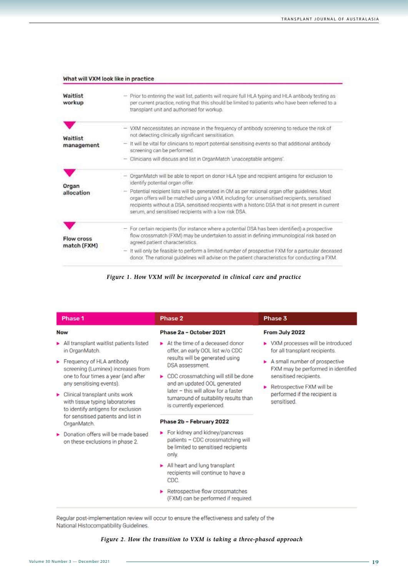| Waitlist<br>workup               | - Prior to entering the wait list, patients will require full HLA typing and HLA antibody testing as<br>per current practice, noting that this should be limited to patients who have been referred to a<br>transplant unit and authorised for workup.                                                                                                          |
|----------------------------------|-----------------------------------------------------------------------------------------------------------------------------------------------------------------------------------------------------------------------------------------------------------------------------------------------------------------------------------------------------------------|
| Waitlist<br>management           | - VXM neccessitates an increase in the frequency of antibody screening to reduce the risk of<br>not detecting clinically significant sensitisation.                                                                                                                                                                                                             |
|                                  | - It will be vital for clinicians to report potential sensitising events so that additional antibody<br>screening can be performed.                                                                                                                                                                                                                             |
|                                  | Clinicians will discuss and list in OrganMatch 'unacceptable antigens'.                                                                                                                                                                                                                                                                                         |
| Organ<br>allocation              | - OrganMatch will be able to report on donor HLA type and recipient antigens for exclusion to<br>identify potential organ offer.                                                                                                                                                                                                                                |
|                                  | - Potential recipient lists will be generated in OM as per national organ offer guidelines. Most<br>organ offers will be matched using a VXM, including for: unsensitised recipients, sensitised<br>recipients without a DSA, sensitised recipients with a historic DSA that is not present in current<br>serum, and sensitised recipients with a low risk DSA. |
| <b>Flow cross</b><br>match (FXM) | - For certain recipients (for instance where a potential DSA has been identified) a prospective<br>flow crossmatch (FXM) may be undertaken to assist in defining immunological risk based on<br>agreed patient characteristics.                                                                                                                                 |
|                                  | - It will only be feasible to perform a limited number of prospective FXM for a particular deceased<br>donor. The national guidelines will advise on the patient characteristics for conducting a FXM.                                                                                                                                                          |

*Figure 1. How VXM will be incorporated in clinical care and practice*

| Phase 1                                                                                                 | Phase 2                                                                                                             | Phase 3                                                                                                                                                                    |
|---------------------------------------------------------------------------------------------------------|---------------------------------------------------------------------------------------------------------------------|----------------------------------------------------------------------------------------------------------------------------------------------------------------------------|
| <b>Now</b>                                                                                              | Phase 2a - October 2021                                                                                             | From July 2022                                                                                                                                                             |
| All transplant waitlist patients listed<br>in OrganMatch.                                               | At the time of a deceased donor<br>offer, an early OOL list w/o CDC                                                 | > VXM processes will be introduced<br>for all transplant recipients.                                                                                                       |
| Frequency of HLA antibody<br>screening (Luminex) increases from                                         | results will be generated using<br><b>DSA</b> assessment                                                            | A small number of prospective<br>FXM may be performed in identified<br>sensitised recipients.<br>Retrospective FXM will be<br>performed if the recipient is<br>sensitised. |
| one to four times a year (and after<br>any sensitising events).                                         | ▶ CDC crossmatching will still be done<br>and an updated OOL generated                                              |                                                                                                                                                                            |
| Clinical transplant units work<br>with tissue typing laboratories<br>to identify antigens for exclusion | later - this will allow for a faster<br>turnaround of suitability results than<br>is currently experienced.         |                                                                                                                                                                            |
| for sensitised patients and list in<br>OrganMatch.                                                      | Phase 2b - February 2022                                                                                            |                                                                                                                                                                            |
| Donation offers will be made based<br>on these exclusions in phase 2.                                   | For kidney and kidney/pancreas<br>patients - CDC crossmatching will<br>be limited to sensitised recipients<br>only. |                                                                                                                                                                            |
|                                                                                                         | All heart and lung transplant<br>recipients will continue to have a<br>CDC.                                         |                                                                                                                                                                            |
|                                                                                                         | Retrospective flow crossmatches<br>(FXM) can be performed if required.                                              |                                                                                                                                                                            |

Regular post-implementation review will occur to ensure the effectiveness and safety of the National Histocompatibility Guidelines.

### *Figure 2. How the transition to VXM is taking a three-phased approach*